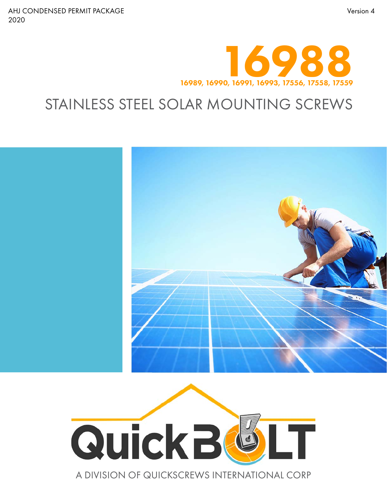

## STAINLESS STEEL SOLAR MOUNTING SCREWS





A DIVISION OF QUICKSCREWS INTERNATIONAL CORP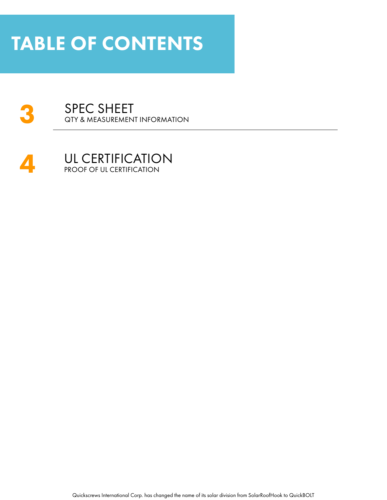# TABLE OF CONTENTS





Quickscrews International Corp. has changed the name of its solar division from SolarRoofHook to QuickBOLT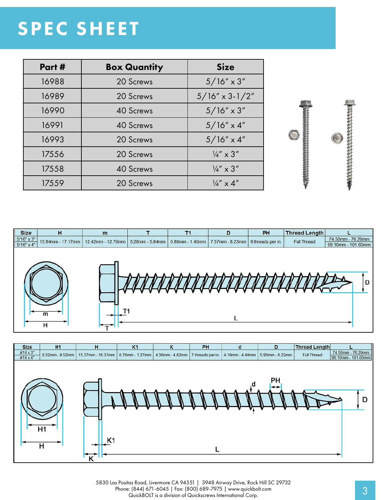# SPEC SHEET

| Part # | <b>Box Quantity</b> | <b>Size</b>               |
|--------|---------------------|---------------------------|
| 16988  | 20 Screws           | $5/16'' \times 3''$       |
| 16989  | 20 Screws           | $5/16'' \times 3 - 1/2''$ |
| 16990  | 40 Screws           | $5/16'' \times 3''$       |
| 16991  | <b>40 Screws</b>    | $5/16'' \times 4''$       |
| 16993  | 20 Screws           | $5/16'' \times 4''$       |
| 17556  | 20 Screws           | $\frac{1}{4}$ " x 3"      |
| 17558  | 40 Screws           | $\frac{1}{4}$ " x 3"      |
| 17559  | 20 Screws           | $\frac{1}{4}$ " x 4"      |







5830 Las Positas Road, Livermore CA 94551 | 3948 Airway Drive, Rock Hill SC 29732 Phone: (844) 671-6045 | Fax: (800) 689-7975 | www.quickbolt.com<br>QuickBOLT is a division of Quickscrews International Corp.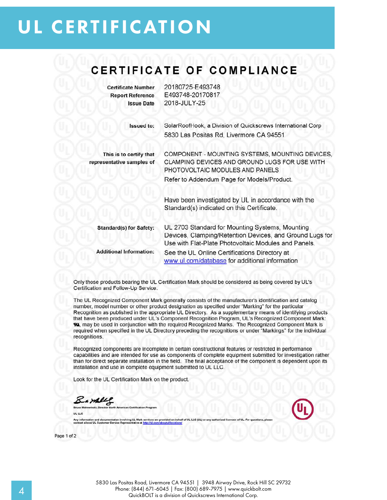## **UL CERTIFICATION**

### CERTIFICATE OF COMPLIANCE

**Certificate Number Report Reference Issue Date**  20180725-E493748 E493748-20170817 2018-JULY-25

Issued to: SolarRoofHook, a Division of Quickscrews International Corp 5830 Las Positas Rd. Livermore CA 94551

This is to certify that representative samples of

COMPONENT - MOUNTING SYSTEMS, MOUNTING DEVICES. CLAMPING DEVICES AND GROUND LUGS FOR USE WITH PHOTOVOLTAIC MODULES AND PANELS Refer to Addendum Page for Models/Product.

Have been investigated by UL in accordance with the Standard(s) indicated on this Certificate.

Standard(s) for Safety: UL 2703 Standard for Mounting Systems, Mounting Devices, Clamping/Retention Devices, and Ground Lugs for Use with Flat-Plate Photovoltaic Modules and Panels. **Additional Information:** See the UL Online Certifications Directory at www.ul.com/database for additional information

Only those products bearing the UL Certification Mark should be considered as being covered by UL's Certification and Follow-Up Service.

The UL Recognized Component Mark generally consists of the manufacturer's identification and catalog number, model number or other product designation as specified under "Marking" for the particular Recognition as published in the appropriate UL Directory. As a supplementary means of identifying products that have been produced under UL's Component Recognition Program, UL's Recognized Component Mark: W. may be used in conjunction with the required Recognized Marks. The Recognized Component Mark is required when specified in the UL Directory preceding the recognitions or under "Markings" for the individual recognitions.

Recognized components are incomplete in certain constructional features or restricted in performance capabilities and are intended for use as components of complete equipment submitted for investigation rather than for direct separate installation in the field. The final acceptance of the component is dependent upon its installation and use in complete equipment submitted to UL LLC.

Look for the UL Certification Mark on the product.

Bamblel

can Certifica UL LLC

ices are provided on behalf of UL LLC (UL) or Any information and<br>contact a local UL C imentation involving UL Mark<br>ner Service Representative at

Page 1 of 2